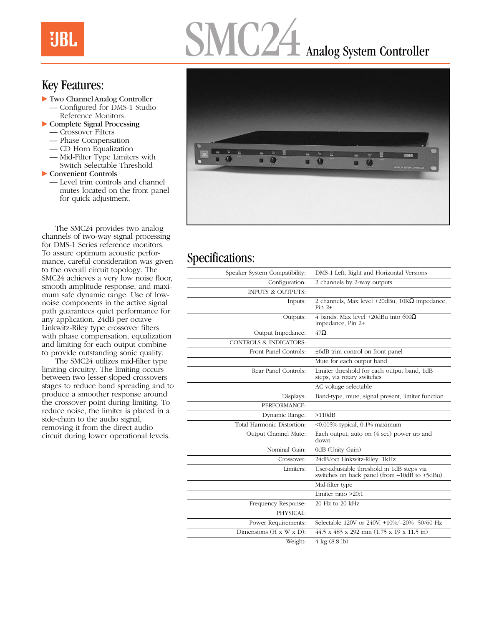## **UBL**

# MC24 Analog System Controller

#### Key Features:

- Two Channel Analog Controller
	- Configured for DMS-1 Studio Reference Monitors
- $\triangleright$  Complete Signal Processing
	- Crossover Filters
	- Phase Compensation
	- CD Horn Equalization
	- Mid-Filter Type Limiters with Switch Selectable Threshold

 $\blacktriangleright$  Convenient Controls

— Level trim controls and channel mutes located on the front panel for quick adjustment.

The SMC24 provides two analog channels of two-way signal processing for DMS-1 Series reference monitors. To assure optimum acoustic performance, careful consideration was given to the overall circuit topology. The SMC24 achieves a very low noise floor, smooth amplitude response, and maximum safe dynamic range. Use of lownoise components in the active signal path guarantees quiet performance for any application. 24dB per octave Linkwitz-Riley type crossover filters with phase compensation, equalization and limiting for each output combine to provide outstanding sonic quality.

The SMC24 utilizes mid-filter type limiting circuitry. The limiting occurs between two lesser-sloped crossovers stages to reduce band spreading and to produce a smoother response around the crossover point during limiting. To reduce noise, the limiter is placed in a side-chain to the audio signal, removing it from the direct audio circuit during lower operational levels.



### Specifications:

| Speaker System Compatibility:         | DMS-1 Left, Right and Horizontal Versions                                                   |
|---------------------------------------|---------------------------------------------------------------------------------------------|
| Configuration:                        | 2 channels by 2-way outputs                                                                 |
| <b>INPUTS &amp; OUTPUTS:</b>          |                                                                                             |
| Inputs:                               | 2 channels, Max level +20dBu, $10K\Omega$ impedance,<br>Pin $2+$                            |
| Outputs:                              | 4 bands, Max level +20dBu into $600\Omega$<br>impedance, Pin 2+                             |
| Output Impedance:                     | $47\Omega$                                                                                  |
| CONTROLS & INDICATORS:                |                                                                                             |
| Front Panel Controls:                 | ±6dB trim control on front panel                                                            |
|                                       | Mute for each output band                                                                   |
| Rear Panel Controls:                  | Limiter threshold for each output band, 1dB<br>steps, via rotary switches                   |
|                                       | AC voltage selectable                                                                       |
| Displays:                             | Band-type, mute, signal present, limiter function                                           |
| PERFORMANCE:                          |                                                                                             |
| Dynamic Range:                        | >110dB                                                                                      |
| Total Harmonic Distortion:            | <0.005% typical, 0.1% maximum                                                               |
| Output Channel Mute:                  | Each output, auto on (4 sec) power up and<br>down                                           |
| Nominal Gain:                         | 0dB (Unity Gain)                                                                            |
| Crossover:                            | 24dB/oct Linkwitz-Riley, 1kHz                                                               |
| Limiters:                             | User-adjustable threshold in 1dB steps via<br>switches on back panel (from -10dB to +5dBu). |
|                                       | Mid-filter type                                                                             |
|                                       | Limiter ratio $>20:1$                                                                       |
| Frequency Response:                   | 20 Hz to 20 kHz                                                                             |
| PHYSICAL:                             |                                                                                             |
|                                       |                                                                                             |
| Power Requirements:                   | Selectable 120V or 240V, +10%/-20% 50/60 Hz                                                 |
| Dimensions ( $H \times W \times D$ ): | 44.5 x 483 x 292 mm (1.75 x 19 x 11.5 in)                                                   |